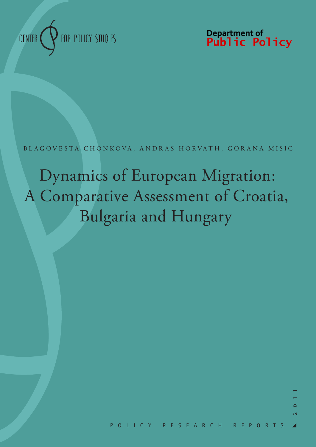

Department of<br>**Public Policy** 

# BLAGOVESTA CHONKOVA, ANDR AS HORVATH, GOR ANA MISIC

# Dynamics of European Migration: A Comparative Assessment of Croatia, Bulgaria and Hungary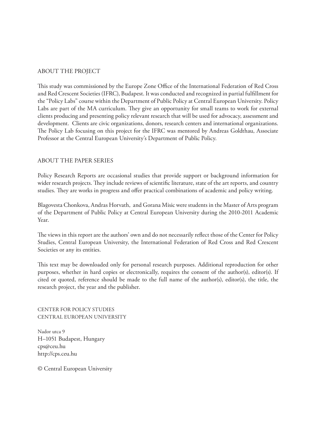#### ABOUT THE PROJECT

This study was commissioned by the Europe Zone Office of the International Federation of Red Cross and Red Crescent Societies (IFRC), Budapest. It was conducted and recognized in partial fulfillment for the "Policy Labs" course within the Department of Public Policy at Central European University. Policy Labs are part of the MA curriculum. They give an opportunity for small teams to work for external clients producing and presenting policy relevant research that will be used for advocacy, assessment and development. Clients are civic organizations, donors, research centers and international organizations. The Policy Lab focusing on this project for the IFRC was mentored by Andreas Goldthau, Associate Professor at the Central European University's Department of Public Policy.

#### ABOUT THE PAPER SERIES

Policy Research Reports are occasional studies that provide support or background information for wider research projects. They include reviews of scientific literature, state of the art reports, and country studies. They are works in progress and offer practical combinations of academic and policy writing.

Blagovesta Chonkova, Andras Horvath, and Gorana Misic were students in the Master of Arts program of the Department of Public Policy at Central European University during the 2010-2011 Academic Year.

The views in this report are the authors' own and do not necessarily reflect those of the Center for Policy Studies, Central European University, the International Federation of Red Cross and Red Crescent Societies or any its entities.

This text may be downloaded only for personal research purposes. Additional reproduction for other purposes, whether in hard copies or electronically, requires the consent of the author(s), editor(s). If cited or quoted, reference should be made to the full name of the author(s), editor(s), the title, the research project, the year and the publisher.

CENTER FOR POLICY STUDIES CENTRAL EUROPEAN UNIVERSITY

Nador utca 9 H–1051 Budapest, Hungary cps@ceu.hu http://cps.ceu.hu

© Central European University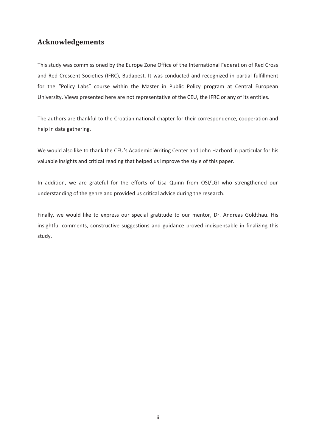### **Acknowledgements**

This study was commissioned by the Europe Zone Office of the International Federation of Red Cross and Red Crescent Societies (IFRC), Budapest. It was conducted and recognized in partial fulfillment for the "Policy Labs" course within the Master in Public Policy program at Central European University. Views presented here are not representative of the CEU, the IFRC or any of its entities.

The authors are thankful to the Croatian national chapter for their correspondence, cooperation and help in data gathering.

We would also like to thank the CEU's Academic Writing Center and John Harbord in particular for his valuable insights and critical reading that helped us improve the style of this paper.

In addition, we are grateful for the efforts of Lisa Quinn from OSI/LGI who strengthened our understanding of the genre and provided us critical advice during the research.

Finally, we would like to express our special gratitude to our mentor, Dr. Andreas Goldthau. His insightful comments, constructive suggestions and guidance proved indispensable in finalizing this study.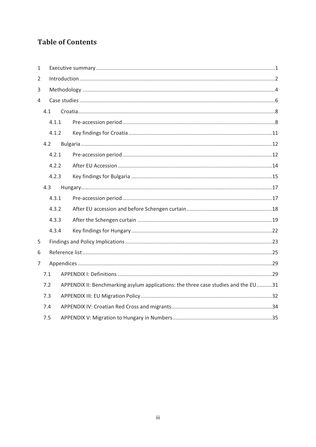# **Table of Contents**

| $\mathbf{1}$   |       |                                                                                    |  |  |  |  |  |  |  |  |
|----------------|-------|------------------------------------------------------------------------------------|--|--|--|--|--|--|--|--|
| 2              |       |                                                                                    |  |  |  |  |  |  |  |  |
| 3              |       |                                                                                    |  |  |  |  |  |  |  |  |
| 4              |       |                                                                                    |  |  |  |  |  |  |  |  |
|                | 4.1   |                                                                                    |  |  |  |  |  |  |  |  |
|                | 4.1.1 |                                                                                    |  |  |  |  |  |  |  |  |
|                | 4.1.2 |                                                                                    |  |  |  |  |  |  |  |  |
|                | 4.2   |                                                                                    |  |  |  |  |  |  |  |  |
|                | 4.2.1 |                                                                                    |  |  |  |  |  |  |  |  |
|                | 4.2.2 |                                                                                    |  |  |  |  |  |  |  |  |
|                | 4.2.3 |                                                                                    |  |  |  |  |  |  |  |  |
|                | 4.3   |                                                                                    |  |  |  |  |  |  |  |  |
|                | 4.3.1 |                                                                                    |  |  |  |  |  |  |  |  |
|                | 4.3.2 |                                                                                    |  |  |  |  |  |  |  |  |
|                | 4.3.3 |                                                                                    |  |  |  |  |  |  |  |  |
|                | 4.3.4 |                                                                                    |  |  |  |  |  |  |  |  |
| 5              |       |                                                                                    |  |  |  |  |  |  |  |  |
| 6              |       |                                                                                    |  |  |  |  |  |  |  |  |
| $\overline{7}$ |       |                                                                                    |  |  |  |  |  |  |  |  |
|                | 7.1   |                                                                                    |  |  |  |  |  |  |  |  |
|                | 7.2   | APPENDIX II: Benchmarking asylum applications: the three case studies and the EU31 |  |  |  |  |  |  |  |  |
|                | 7.3   |                                                                                    |  |  |  |  |  |  |  |  |
|                | 7.4   |                                                                                    |  |  |  |  |  |  |  |  |
|                | 7.5   |                                                                                    |  |  |  |  |  |  |  |  |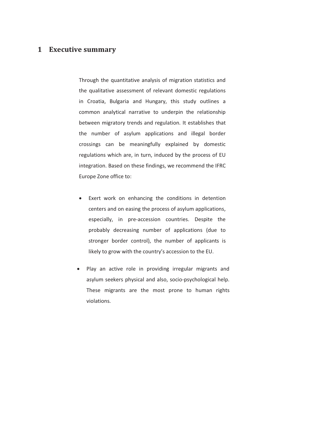#### **1 Executive summary**

Through the quantitative analysis of migration statistics and the qualitative assessment of relevant domestic regulations in Croatia, Bulgaria and Hungary, this study outlines a common analytical narrative to underpin the relationship between migratory trends and regulation. It establishes that the number of asylum applications and illegal border crossings can be meaningfully explained by domestic regulations which are, in turn, induced by the process of EU integration. Based on these findings, we recommend the IFRC Europe Zone office to:

- - Exert work on enhancing the conditions in detention centers and on easing the process of asylum applications, especially, in pre-accession countries. Despite the probably decreasing number of applications (due to stronger border control), the number of applicants is likely to grow with the country's accession to the EU.
- $\bullet$  Play an active role in providing irregular migrants and asylum seekers physical and also, socio-psychological help. These migrants are the most prone to human rights violations.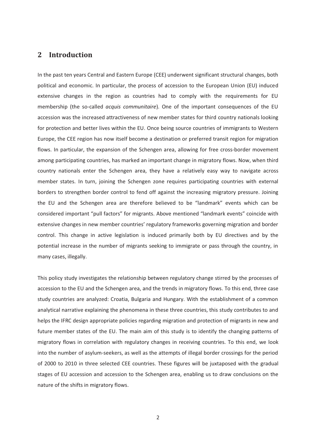#### **2 Introduction**

In the past ten years Central and Eastern Europe (CEE) underwent significant structural changes, both political and economic. In particular, the process of accession to the European Union (EU) induced extensive changes in the region as countries had to comply with the requirements for EU membership (the so-called *acquis communitaire*). One of the important consequences of the EU accession was the increased attractiveness of new member states for third country nationals looking for protection and better lives within the EU. Once being source countries of immigrants to Western Europe, the CEE region has now itself become a destination or preferred transit region for migration flows. In particular, the expansion of the Schengen area, allowing for free cross-border movement among participating countries, has marked an important change in migratory flows. Now, when third country nationals enter the Schengen area, they have a relatively easy way to navigate across member states. In turn, joining the Schengen zone requires participating countries with external borders to strengthen border control to fend off against the increasing migratory pressure. Joining the EU and the Schengen area are therefore believed to be "landmark" events which can be considered important "pull factors" for migrants. Above mentioned "landmark events" coincide with extensive changes in new member countries' regulatory frameworks governing migration and border control. This change in active legislation is induced primarily both by EU directives and by the potential increase in the number of migrants seeking to immigrate or pass through the country, in many cases, illegally.

This policy study investigates the relationship between regulatory change stirred by the processes of accession to the EU and the Schengen area, and the trends in migratory flows. To this end, three case study countries are analyzed: Croatia, Bulgaria and Hungary. With the establishment of a common analytical narrative explaining the phenomena in these three countries, this study contributes to and helps the IFRC design appropriate policies regarding migration and protection of migrants in new and future member states of the EU. The main aim of this study is to identify the changing patterns of migratory flows in correlation with regulatory changes in receiving countries. To this end, we look into the number of asylum-seekers, as well as the attempts of illegal border crossings for the period of 2000 to 2010 in three selected CEE countries. These figures will be juxtaposed with the gradual stages of EU accession and accession to the Schengen area, enabling us to draw conclusions on the nature of the shifts in migratory flows.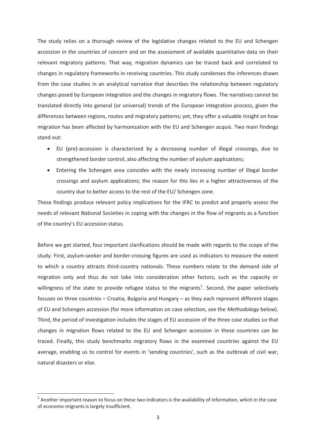The study relies on a thorough review of the legislative changes related to the EU and Schengen accession in the countries of concern and on the assessment of available quantitative data on their relevant migratory patterns. That way, migration dynamics can be traced back and correlated to changes in regulatory frameworks in receiving countries. This study condenses the inferences drawn from the case studies in an analytical narrative that describes the relationship between regulatory changes posed by European integration and the changes in migratory flows. The narratives cannot be translated directly into general (or universal) trends of the European integration process, given the differences between regions, routes and migratory patterns; yet, they offer a valuable insight on how migration has been affected by harmonization with the EU and Schengen *acquis*. Two main findings stand out:

- EU (pre)-accession is characterized by a decreasing number of illegal crossings, due to strengthened border control, also affecting the number of asylum applications;
- Entering the Schengen area coincides with the newly increasing number of illegal border crossings and asylum applications; the reason for this lies in a higher attractiveness of the country due to better access to the rest of the EU/ Schengen zone.

These findings produce relevant policy implications for the IFRC to predict and properly assess the needs of relevant National Societies in coping with the changes in the flow of migrants as a function of the country's EU accession status.

Before we get started, four important clarifications should be made with regards to the scope of the study. First, asylum-seeker and border-crossing figures are used as indicators to measure the extent to which a country attracts third-country nationals. These numbers relate to the demand side of migration only and thus do not take into consideration other factors, such as the capacity or willingness of the state to provide refugee status to the migrants<sup>1</sup>. Second, the paper selectively focuses on three countries – Croatia, Bulgaria and Hungary – as they each represent different stages of EU and Schengen accession (for more information on case selection, see the *Methodology* below). Third, the period of investigation includes the stages of EU accession of the three case studies so that changes in migration flows related to the EU and Schengen accession in these countries can be traced. Finally, this study benchmarks migratory flows in the examined countries against the EU average, enabling us to control for events in 'sending countries', such as the outbreak of civil war, natural disasters or else.

 $\overline{a}$ 

 $1$  Another important reason to focus on these two indicators is the availability of information, which in the case of economic migrants is largely insufficient.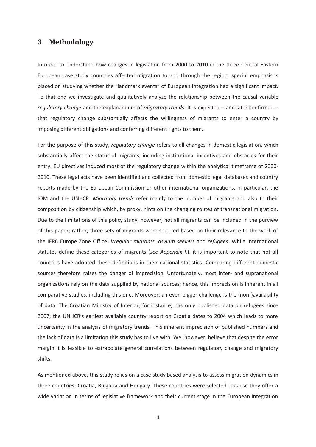#### **3 Methodology**

In order to understand how changes in legislation from 2000 to 2010 in the three Central-Eastern European case study countries affected migration to and through the region, special emphasis is placed on studying whether the "landmark events" of European integration had a significant impact. To that end we investigate and qualitatively analyze the relationship between the causal variable *regulatory change* and the explanandum of *migratory trends*. It is expected – and later confirmed – that regulatory change substantially affects the willingness of migrants to enter a country by imposing different obligations and conferring different rights to them.

For the purpose of this study, *regulatory change* refers to all changes in domestic legislation, which substantially affect the status of migrants, including institutional incentives and obstacles for their entry. EU directives induced most of the regulatory change within the analytical timeframe of 2000- 2010. These legal acts have been identified and collected from domestic legal databases and country reports made by the European Commission or other international organizations, in particular, the IOM and the UNHCR. *Migratory trends* refer mainly to the number of migrants and also to their composition by citizenship which, by proxy, hints on the changing routes of transnational migration. Due to the limitations of this policy study, however, not all migrants can be included in the purview of this paper; rather, three sets of migrants were selected based on their relevance to the work of the IFRC Europe Zone Office: *irregular migrants*, *asylum seekers* and *refugees*. While international statutes define these categories of migrants (*see Appendix I.*), it is important to note that not all countries have adopted these definitions in their national statistics. Comparing different domestic sources therefore raises the danger of imprecision. Unfortunately, most inter- and supranational organizations rely on the data supplied by national sources; hence, this imprecision is inherent in all comparative studies, including this one. Moreover, an even bigger challenge is the (non-)availability of data. The Croatian Ministry of Interior, for instance, has only published data on refugees since 2007; the UNHCR's earliest available country report on Croatia dates to 2004 which leads to more uncertainty in the analysis of migratory trends. This inherent imprecision of published numbers and the lack of data is a limitation this study has to live with. We, however, believe that despite the error margin it is feasible to extrapolate general correlations between regulatory change and migratory shifts.

As mentioned above, this study relies on a case study based analysis to assess migration dynamics in three countries: Croatia, Bulgaria and Hungary. These countries were selected because they offer a wide variation in terms of legislative framework and their current stage in the European integration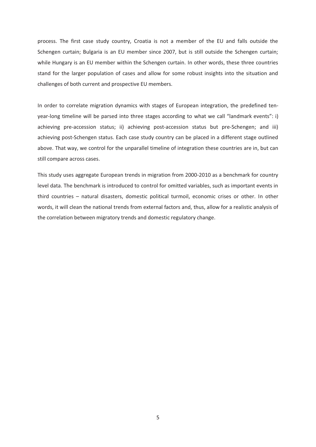process. The first case study country, Croatia is not a member of the EU and falls outside the Schengen curtain; Bulgaria is an EU member since 2007, but is still outside the Schengen curtain; while Hungary is an EU member within the Schengen curtain. In other words, these three countries stand for the larger population of cases and allow for some robust insights into the situation and challenges of both current and prospective EU members.

In order to correlate migration dynamics with stages of European integration, the predefined tenyear-long timeline will be parsed into three stages according to what we call "landmark events": i) achieving pre-accession status; ii) achieving post-accession status but pre-Schengen; and iii) achieving post-Schengen status. Each case study country can be placed in a different stage outlined above. That way, we control for the unparallel timeline of integration these countries are in, but can still compare across cases.

This study uses aggregate European trends in migration from 2000-2010 as a benchmark for country level data. The benchmark is introduced to control for omitted variables, such as important events in third countries – natural disasters, domestic political turmoil, economic crises or other. In other words, it will clean the national trends from external factors and, thus, allow for a realistic analysis of the correlation between migratory trends and domestic regulatory change.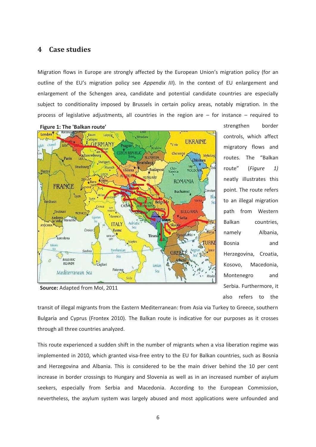#### **4 Case studies**

Migration flows in Europe are strongly affected by the European Union's migration policy (for an outline of the EU's migration policy see *Appendix III*). In the context of EU enlargement and enlargement of the Schengen area, candidate and potential candidate countries are especially subject to conditionality imposed by Brussels in certain policy areas, notably migration. In the process of legislative adjustments, all countries in the region are – for instance – required to



**Source:** Adapted from MoI, 2011

strengthen border controls, which affect migratory flows and routes. The "Balkan route" (*Figure 1)* neatly illustrates this point. The route refers to an illegal migration path from Western Balkan countries, namely Albania, Bosnia and Herzegovina, Croatia, Kosovo, Macedonia, Montenegro and Serbia. Furthermore, it also refers to the

transit of illegal migrants from the Eastern Mediterranean: from Asia via Turkey to Greece, southern Bulgaria and Cyprus (Frontex 2010). The Balkan route is indicative for our purposes as it crosses through all three countries analyzed.

This route experienced a sudden shift in the number of migrants when a visa liberation regime was implemented in 2010, which granted visa-free entry to the EU for Balkan countries, such as Bosnia and Herzegovina and Albania. This is considered to be the main driver behind the 10 per cent increase in border crossings to Hungary and Slovenia as well as in an increased number of asylum seekers, especially from Serbia and Macedonia. According to the European Commission, nevertheless, the asylum system was largely abused and most applications were unfounded and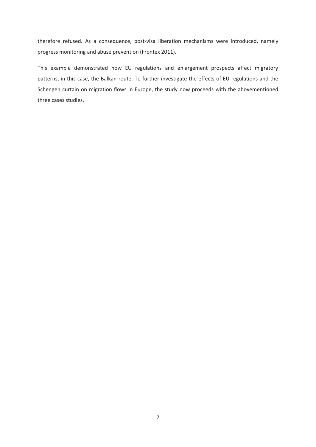therefore refused. As a consequence, post-visa liberation mechanisms were introduced, namely progress monitoring and abuse prevention (Frontex 2011).

This example demonstrated how EU regulations and enlargement prospects affect migratory patterns, in this case, the Balkan route. To further investigate the effects of EU regulations and the Schengen curtain on migration flows in Europe, the study now proceeds with the abovementioned three cases studies.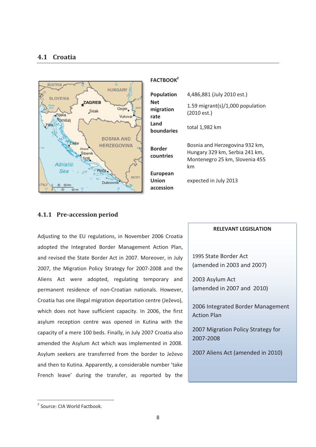#### **4.1 Croatia**



#### **FACTBOOK2**

| <b>Population</b>               | 4,486,881 (July 2010 est.)                                                                               |  |  |  |  |
|---------------------------------|----------------------------------------------------------------------------------------------------------|--|--|--|--|
| <b>Net</b><br>migration<br>rate | 1.59 migrant(s)/1,000 population<br>(2010est.)                                                           |  |  |  |  |
| Land<br>boundaries              | total 1,982 km                                                                                           |  |  |  |  |
|                                 |                                                                                                          |  |  |  |  |
| Border<br>countries             | Bosnia and Herzegovina 932 km,<br>Hungary 329 km, Serbia 241 km,<br>Montenegro 25 km, Slovenia 455<br>km |  |  |  |  |

#### **4.1.1 Pre-accession period**

Adjusting to the EU regulations, in November 2006 Croatia adopted the Integrated Border Management Action Plan, and revised the State Border Act in 2007. Moreover, in July 2007, the Migration Policy Strategy for 2007-2008 and the Aliens Act were adopted, regulating temporary and permanent residence of non-Croatian nationals. However, Croatia has one illegal migration deportation centre (Ježevo), which does not have sufficient capacity. In 2006, the first asylum reception centre was opened in Kutina with the capacity of a mere 100 beds. Finally, in July 2007 Croatia also amended the Asylum Act which was implemented in 2008. Asylum seekers are transferred from the border to Ježevo and then to Kutina. Apparently, a considerable number 'take French leave' during the transfer, as reported by the

#### **RELEVANT LEGISLATION**

1995 State Border Act (amended in 2003 and 2007)

2003 Asylum Act (amended in 2007 and 2010)

2006 Integrated Border Management Action Plan

2007 Migration Policy Strategy for 2007-2008

2007 Aliens Act (amended in 2010)

 2 Source: CIA World Factbook.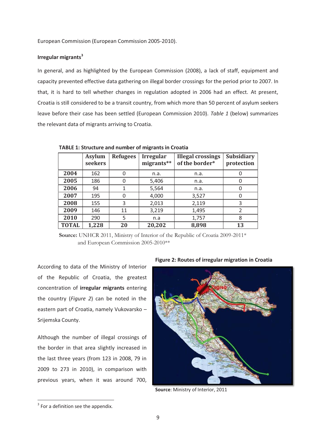European Commission (European Commission 2005-2010).

#### **Irregular migrants<sup>3</sup>**

In general, and as highlighted by the European Commission (2008), a lack of staff, equipment and capacity prevented effective data gathering on illegal border crossings for the period prior to 2007. In that, it is hard to tell whether changes in regulation adopted in 2006 had an effect. At present, Croatia is still considered to be a transit country, from which more than 50 percent of asylum seekers leave before their case has been settled (European Commission 2010). *Table 1* (below) summarizes the relevant data of migrants arriving to Croatia.

|              | <b>Asylum</b><br><b>Refugees</b><br>seekers |    | <b>Irregular</b><br>migrants** | <b>Illegal crossings</b><br>of the border* | <b>Subsidiary</b><br>protection |  |
|--------------|---------------------------------------------|----|--------------------------------|--------------------------------------------|---------------------------------|--|
| 2004         | 162                                         | 0  | n.a.                           | n.a.                                       | 0                               |  |
| 2005         | 186                                         | 0  | 5,406                          | n.a.                                       | 0                               |  |
| 2006         | 94                                          |    | 5,564                          | n.a.                                       | 0                               |  |
| 2007         | 195                                         | 0  | 4,000                          | 3,527                                      | 0                               |  |
| 2008         | 155                                         | 3  | 2,013                          | 2,119                                      | 3                               |  |
| 2009         | 146                                         | 11 | 3,219                          | 1,495                                      | $\overline{\phantom{a}}$        |  |
| 2010         | 290                                         | 5  | n.a                            | 1,757                                      | 8                               |  |
| <b>TOTAL</b> | 1,228                                       | 20 | 20,202                         | 8,898                                      | 13                              |  |

**TABLE 1: Structure and number of migrants in Croatia**

Source: UNHCR 2011, Ministry of Interior of the Republic of Croatia 2009-2011<sup>\*</sup> and European Commission 2005-2010\*\*

According to data of the Ministry of Interior of the Republic of Croatia, the greatest concentration of **irregular migrants** entering the country (*Figure 2*) can be noted in the eastern part of Croatia, namely Vukovarsko – Srijemska County.

Although the number of illegal crossings of the border in that area slightly increased in the last three years (from 123 in 2008, 79 in 2009 to 273 in 2010), in comparison with previous years, when it was around 700,

**Figure 2: Routes of irregular migration in Croatia** 



**Source**: Ministry of Interior, 2011

-

 $3$  For a definition see the appendix.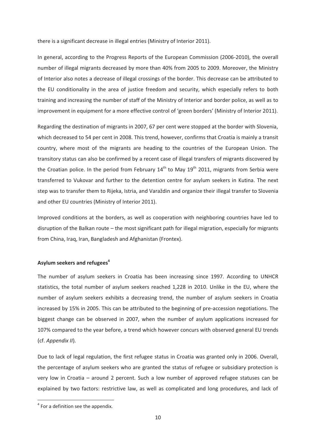there is a significant decrease in illegal entries (Ministry of Interior 2011).

In general, according to the Progress Reports of the European Commission (2006-2010), the overall number of illegal migrants decreased by more than 40% from 2005 to 2009. Moreover, the Ministry of Interior also notes a decrease of illegal crossings of the border. This decrease can be attributed to the EU conditionality in the area of justice freedom and security, which especially refers to both training and increasing the number of staff of the Ministry of Interior and border police, as well as to improvement in equipment for a more effective control of 'green borders' (Ministry of Interior 2011).

Regarding the destination of migrants in 2007, 67 per cent were stopped at the border with Slovenia, which decreased to 54 per cent in 2008. This trend, however, confirms that Croatia is mainly a transit country, where most of the migrants are heading to the countries of the European Union. The transitory status can also be confirmed by a recent case of illegal transfers of migrants discovered by the Croatian police. In the period from February  $14<sup>th</sup>$  to May  $19<sup>th</sup>$  2011, migrants from Serbia were transferred to Vukovar and further to the detention centre for asylum seekers in Kutina. The next step was to transfer them to Rijeka, Istria, and Varaždin and organize their illegal transfer to Slovenia and other EU countries (Ministry of Interior 2011).

Improved conditions at the borders, as well as cooperation with neighboring countries have led to disruption of the Balkan route – the most significant path for illegal migration, especially for migrants from China, Iraq, Iran, Bangladesh and Afghanistan (Frontex).

#### Asylum seekers and refugees<sup>4</sup>

The number of asylum seekers in Croatia has been increasing since 1997. According to UNHCR statistics, the total number of asylum seekers reached 1,228 in 2010. Unlike in the EU, where the number of asylum seekers exhibits a decreasing trend, the number of asylum seekers in Croatia increased by 15% in 2005. This can be attributed to the beginning of pre-accession negotiations. The biggest change can be observed in 2007, when the number of asylum applications increased for 107% compared to the year before, a trend which however concurs with observed general EU trends (cf. *Appendix II*).

Due to lack of legal regulation, the first refugee status in Croatia was granted only in 2006. Overall, the percentage of asylum seekers who are granted the status of refugee or subsidiary protection is very low in Croatia – around 2 percent. Such a low number of approved refugee statuses can be explained by two factors: restrictive law, as well as complicated and long procedures, and lack of

-

 $4$  For a definition see the appendix.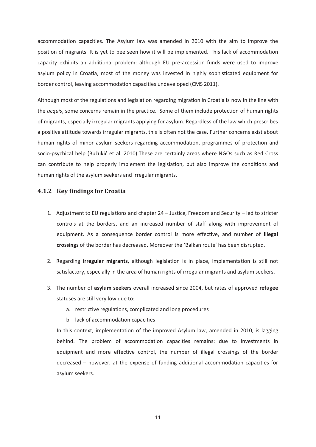accommodation capacities. The Asylum law was amended in 2010 with the aim to improve the position of migrants. It is yet to bee seen how it will be implemented. This lack of accommodation capacity exhibits an additional problem: although EU pre-accession funds were used to improve asylum policy in Croatia, most of the money was invested in highly sophisticated equipment for border control, leaving accommodation capacities undeveloped (CMS 2011).

Although most of the regulations and legislation regarding migration in Croatia is now in the line with the *acquis*, some concerns remain in the practice. Some of them include protection of human rights of migrants, especially irregular migrants applying for asylum. Regardless of the law which prescribes a positive attitude towards irregular migrants, this is often not the case. Further concerns exist about human rights of minor asylum seekers regarding accommodation, programmes of protection and socio-psychical help (Bužukić et al. 2010).These are certainly areas where NGOs such as Red Cross can contribute to help properly implement the legislation, but also improve the conditions and human rights of the asylum seekers and irregular migrants.

#### **4.1.2 Key findings for Croatia**

- 1. Adjustment to EU regulations and chapter 24 Justice, Freedom and Security led to stricter controls at the borders, and an increased number of staff along with improvement of equipment. As a consequence border control is more effective, and number of **illegal crossings** of the border has decreased. Moreover the 'Balkan route' has been disrupted.
- 2. Regarding **irregular migrants**, although legislation is in place, implementation is still not satisfactory, especially in the area of human rights of irregular migrants and asylum seekers.
- 3. The number of **asylum seekers** overall increased since 2004, but rates of approved **refugee** statuses are still very low due to:
	- a. restrictive regulations, complicated and long procedures
	- b. lack of accommodation capacities

In this context, implementation of the improved Asylum law, amended in 2010, is lagging behind. The problem of accommodation capacities remains: due to investments in equipment and more effective control, the number of illegal crossings of the border decreased – however, at the expense of funding additional accommodation capacities for asylum seekers.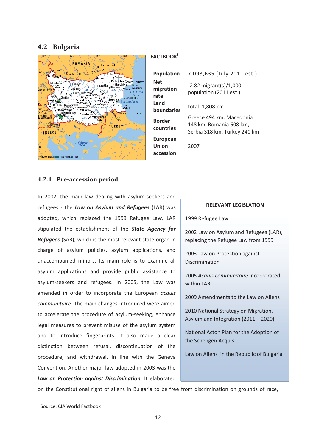#### **4.2 Bulgaria**



| <b>Population</b>                     | 7,093,635 (July 2011 est.)                                                          |  |  |  |  |  |
|---------------------------------------|-------------------------------------------------------------------------------------|--|--|--|--|--|
| <b>Net</b><br>migration<br>rate       | $-2.82$ migrant(s)/1,000<br>population (2011 est.)                                  |  |  |  |  |  |
| Land<br>boundaries                    | total: 1,808 km                                                                     |  |  |  |  |  |
| <b>Border</b><br>countries            | Greece 494 km, Macedonia<br>148 km, Romania 608 km,<br>Serbia 318 km, Turkey 240 km |  |  |  |  |  |
| <b>European</b><br>Union<br>accession | 2007                                                                                |  |  |  |  |  |

#### **4.2.1 Pre-accession period**

In 2002, the main law dealing with asylum-seekers and refugees - the *Law on Asylum and Refugees* (LAR) was adopted, which replaced the 1999 Refugee Law. LAR stipulated the establishment of the *State Agency for Refugees* (SAR), which is the most relevant state organ in charge of asylum policies, asylum applications, and unaccompanied minors. Its main role is to examine all asylum applications and provide public assistance to asylum-seekers and refugees. In 2005, the Law was amended in order to incorporate the European *acquis communitaire.* The main changes introduced were aimed to accelerate the procedure of asylum-seeking, enhance legal measures to prevent misuse of the asylum system and to introduce fingerprints. It also made a clear distinction between refusal, discontinuation of the procedure, and withdrawal, in line with the Geneva Convention. Another major law adopted in 2003 was the *Law on Protection against Discrimination*. It elaborated

# **RELEVANT LEGISLATION**  1999 Refugee Law 2002 Law on Asylum and Refugees (LAR), replacing the Refugee Law from 1999 2003 Law on Protection against **Discrimination** 2005 *Acquis communitaire* incorporated within LAR 2009 Amendments to the Law on Aliens 2010 National Strategy on Migration, Asylum and Integration (2011 – 2020) National Acton Plan for the Adoption of the Schengen Acquis Law on Aliens in the Republic of Bulgaria

on the Constitutional right of aliens in Bulgaria to be free from discrimination on grounds of race,

-

<sup>5</sup> Source: CIA World Factbook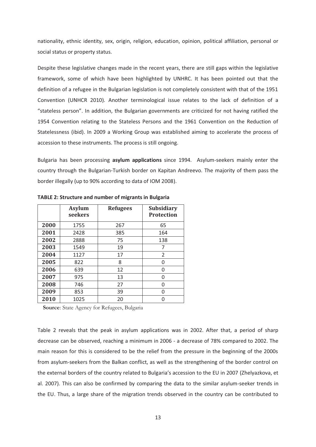nationality, ethnic identity, sex, origin, religion, education, opinion, political affiliation, personal or social status or property status.

Despite these legislative changes made in the recent years, there are still gaps within the legislative framework, some of which have been highlighted by UNHRC. It has been pointed out that the definition of a refugee in the Bulgarian legislation is not completely consistent with that of the 1951 Convention (UNHCR 2010). Another terminological issue relates to the lack of definition of a "stateless person". In addition, the Bulgarian governments are criticized for not having ratified the 1954 Convention relating to the Stateless Persons and the 1961 Convention on the Reduction of Statelessness (ibid). In 2009 a Working Group was established aiming to accelerate the process of accession to these instruments. The process is still ongoing.

Bulgaria has been processing **asylum applications** since 1994. Asylum-seekers mainly enter the country through the Bulgarian-Turkish border on Kapitan Andreevo. The majority of them pass the border illegally (up to 90% according to data of IOM 2008).

|      | <b>Asylum</b><br>seekers | <b>Refugees</b> | <b>Subsidiary</b><br><b>Protection</b> |
|------|--------------------------|-----------------|----------------------------------------|
| 2000 | 1755                     | 267             | 65                                     |
| 2001 | 2428                     | 385             | 164                                    |
| 2002 | 2888                     | 75              | 138                                    |
| 2003 | 1549                     | 19              | 7                                      |
| 2004 | 1127                     | 17              | $\overline{2}$                         |
| 2005 | 822                      | 8               | 0                                      |
| 2006 | 639                      | 12              | U                                      |
| 2007 | 975                      | 13              | 0                                      |
| 2008 | 746                      | 27              | U                                      |
| 2009 | 853                      | 39              | U                                      |
| 2010 | 1025                     | 20              | Ω                                      |

**TABLE 2: Structure and number of migrants in Bulgaria** 

**Source**: State Agency for Refugees, Bulgaria

Table 2 reveals that the peak in asylum applications was in 2002. After that, a period of sharp decrease can be observed, reaching a minimum in 2006 - a decrease of 78% compared to 2002. The main reason for this is considered to be the relief from the pressure in the beginning of the 2000s from asylum-seekers from the Balkan conflict, as well as the strengthening of the border control on the external borders of the country related to Bulgaria's accession to the EU in 2007 (Zhelyazkova, et al. 2007). This can also be confirmed by comparing the data to the similar asylum-seeker trends in the EU. Thus, a large share of the migration trends observed in the country can be contributed to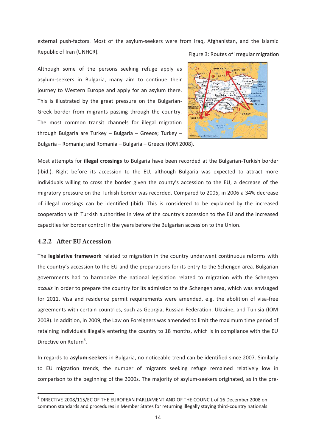external push-factors. Most of the asylum-seekers were from Iraq, Afghanistan, and the Islamic Republic of Iran (UNHCR). Figure 3: Routes of irregular migration

Although some of the persons seeking refuge apply as asylum-seekers in Bulgaria, many aim to continue their journey to Western Europe and apply for an asylum there. This is illustrated by the great pressure on the Bulgarian-Greek border from migrants passing through the country. The most common transit channels for illegal migration through Bulgaria are Turkey – Bulgaria – Greece; Turkey –



Bulgaria – Romania; and Romania – Bulgaria – Greece (IOM 2008).

Most attempts for **illegal crossings** to Bulgaria have been recorded at the Bulgarian-Turkish border (ibid.). Right before its accession to the EU, although Bulgaria was expected to attract more individuals willing to cross the border given the county's accession to the EU, a decrease of the migratory pressure on the Turkish border was recorded. Compared to 2005, in 2006 a 34% decrease of illegal crossings can be identified (ibid). This is considered to be explained by the increased cooperation with Turkish authorities in view of the country's accession to the EU and the increased capacities for border control in the years before the Bulgarian accession to the Union.

#### **4.2.2 After EU Accession**

 $\overline{a}$ 

The **legislative framework** related to migration in the country underwent continuous reforms with the country's accession to the EU and the preparations for its entry to the Schengen area. Bulgarian governments had to harmonize the national legislation related to migration with the Schengen *acquis* in order to prepare the country for its admission to the Schengen area, which was envisaged for 2011. Visa and residence permit requirements were amended, e.g. the abolition of visa-free agreements with certain countries, such as Georgia, Russian Federation, Ukraine, and Tunisia (IOM 2008). In addition, in 2009, the Law on Foreigners was amended to limit the maximum time period of retaining individuals illegally entering the country to 18 months, which is in compliance with the EU Directive on Return<sup>6</sup>.

In regards to **asylum-seekers** in Bulgaria, no noticeable trend can be identified since 2007. Similarly to EU migration trends, the number of migrants seeking refuge remained relatively low in comparison to the beginning of the 2000s. The majority of asylum-seekers originated, as in the pre-

<sup>6</sup> DIRECTIVE 2008/115/EC OF THE EUROPEAN PARLIAMENT AND OF THE COUNCIL of 16 December 2008 on common standards and procedures in Member States for returning illegally staying third-country nationals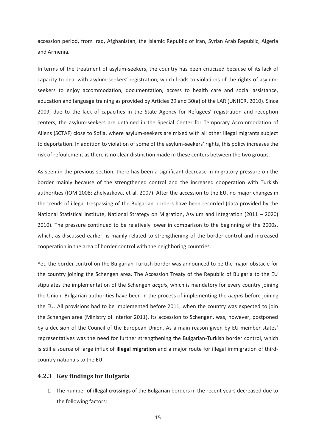accession period, from Iraq, Afghanistan, the Islamic Republic of Iran, Syrian Arab Republic, Algeria and Armenia.

In terms of the treatment of asylum-seekers, the country has been criticized because of its lack of capacity to deal with asylum-seekers' registration, which leads to violations of the rights of asylumseekers to enjoy accommodation, documentation, access to health care and social assistance, education and language training as provided by Articles 29 and 30(a) of the LAR (UNHCR, 2010). Since 2009, due to the lack of capacities in the State Agency for Refugees' registration and reception centers, the asylum-seekers are detained in the Special Center for Temporary Accommodation of Aliens (SCTAF) close to Sofia, where asylum-seekers are mixed with all other illegal migrants subject to deportation. In addition to violation of some of the asylum-seekers' rights, this policy increases the risk of refoulement as there is no clear distinction made in these centers between the two groups.

As seen in the previous section, there has been a significant decrease in migratory pressure on the border mainly because of the strengthened control and the increased cooperation with Turkish authorities (IOM 2008; Zhelyazkova, et al. 2007). After the accession to the EU, no major changes in the trends of illegal trespassing of the Bulgarian borders have been recorded (data provided by the National Statistical Institute, National Strategy on Migration, Asylum and Integration (2011 – 2020) 2010). The pressure continued to be relatively lower in comparison to the beginning of the 2000s, which, as discussed earlier, is mainly related to strengthening of the border control and increased cooperation in the area of border control with the neighboring countries.

Yet, the border control on the Bulgarian-Turkish border was announced to be the major obstacle for the country joining the Schengen area. The Accession Treaty of the Republic of Bulgaria to the EU stipulates the implementation of the Schengen *acquis*, which is mandatory for every country joining the Union. Bulgarian authorities have been in the process of implementing the *acquis* before joining the EU. All provisions had to be implemented before 2011, when the country was expected to join the Schengen area (Ministry of Interior 2011). Its accession to Schengen, was, however, postponed by a decision of the Council of the European Union. As a main reason given by EU member states' representatives was the need for further strengthening the Bulgarian-Turkish border control, which is still a source of large influx of **illegal migration** and a major route for illegal immigration of thirdcountry nationals to the EU.

#### **4.2.3 Key findings for Bulgaria**

1. The number **of illegal crossings** of the Bulgarian borders in the recent years decreased due to the following factors: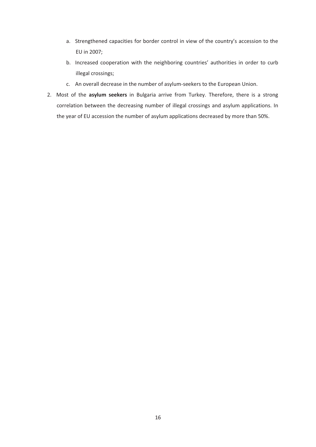- a. Strengthened capacities for border control in view of the country's accession to the EU in 2007;
- b. Increased cooperation with the neighboring countries' authorities in order to curb illegal crossings;
- c. An overall decrease in the number of asylum-seekers to the European Union.
- 2. Most of the **asylum seekers** in Bulgaria arrive from Turkey. Therefore, there is a strong correlation between the decreasing number of illegal crossings and asylum applications. In the year of EU accession the number of asylum applications decreased by more than 50%.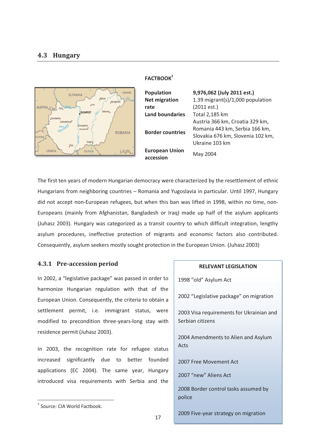#### **4.3 Hungary**



#### **FACTBOOK7**

| <b>Population</b>                  | 9,976,062 (July 2011 est.)        |  |  |  |  |
|------------------------------------|-----------------------------------|--|--|--|--|
| <b>Net migration</b>               | 1.39 migrant(s)/1,000 population  |  |  |  |  |
| rate                               | (2011 est.)                       |  |  |  |  |
| Land boundaries                    | Total 2,185 km                    |  |  |  |  |
|                                    | Austria 366 km, Croatia 329 km,   |  |  |  |  |
| <b>Border countries</b>            | Romania 443 km, Serbia 166 km,    |  |  |  |  |
|                                    | Slovakia 676 km, Slovenia 102 km, |  |  |  |  |
|                                    | Ukraine 103 km                    |  |  |  |  |
| <b>European Union</b><br>accession | May 2004                          |  |  |  |  |

The first ten years of modern Hungarian democracy were characterized by the resettlement of ethnic Hungarians from neighboring countries – Romania and Yugoslavia in particular. Until 1997, Hungary did not accept non-European refugees, but when this ban was lifted in 1998, within no time, non-Europeans (mainly from Afghanistan, Bangladesh or Iraq) made up half of the asylum applicants (Juhasz 2003). Hungary was categorized as a transit country to which difficult integration, lengthy asylum procedures, ineffective protection of migrants and economic factors also contributed. Consequently, asylum seekers mostly sought protection in the European Union. (Juhasz 2003)

#### **4.3.1 Pre-accession period**

In 2002, a "legislative package" was passed in order to harmonize Hungarian regulation with that of the European Union. Consequently, the criteria to obtain a settlement permit, i.e. immigrant status, were modified to precondition three-years-long stay with residence permit (Juhasz 2003).

In 2003, the recognition rate for refugee status increased significantly due to better founded applications (EC 2004). The same year, Hungary introduced visa requirements with Serbia and the

-

#### **RELEVANT LEGISLATION**

1998 "old" Asylum Act 2002 "Legislative package" on migration 2003 Visa requirements for Ukrainian and Serbian citizens 2004 Amendments to Alien and Asylum Acts 2007 Free Movement Act 2007 "new" Aliens Act 2008 Border control tasks assumed by police 2009 Five-year strategy on migration

<sup>&</sup>lt;sup>7</sup> Source: CIA World Factbook.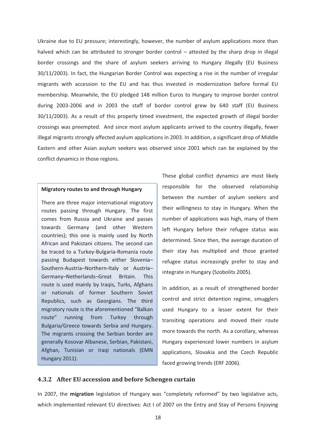Ukraine due to EU pressure; interestingly, however, the number of asylum applications more than halved which can be attributed to stronger border control – attested by the sharp drop in illegal border crossings and the share of asylum seekers arriving to Hungary illegally (EU Business 30/11/2003). In fact, the Hungarian Border Control was expecting a rise in the number of irregular migrants with accession to the EU and has thus invested in modernization before formal EU membership. Meanwhile, the EU pledged 148 million Euros to Hungary to improve border control during 2003-2006 and in 2003 the staff of border control grew by 640 staff (EU Business 30/11/2003). As a result of this properly timed investment, the expected growth of illegal border crossings was preempted. And since most asylum applicants arrived to the country illegally, fewer illegal migrants strongly affected asylum applications in 2003. In addition, a significant drop of Middle Eastern and other Asian asylum seekers was observed since 2001 which can be explained by the conflict dynamics in those regions.

#### **Migratory routes to and through Hungary**

There are three major international migratory routes passing through Hungary. The first comes from Russia and Ukraine and passes towards Germany (and other Western countries); this one is mainly used by North African and Pakistani citizens. The second can be traced to a Turkey-Bulgaria-Romania route passing Budapest towards either Slovenia– Southern-Austria–Northern-Italy or Austria– Germany–Netherlands–Great Britain. This route is used mainly by Iraqis, Turks, Afghans or nationals of former Southern Soviet Republics, such as Georgians. The third migratory route is the aforementioned "Balkan route" running from Turkey through Bulgaria/Greece towards Serbia and Hungary. The migrants crossing the Serbian border are generally Kosovar Albanese, Serbian, Pakistani, Afghan, Tunisian or Iraqi nationals (EMN Hungary 2011).

These global conflict dynamics are most likely responsible for the observed relationship between the number of asylum seekers and their willingness to stay in Hungary. When the number of applications was high, many of them left Hungary before their refugee status was determined. Since then, the average duration of their stay has multiplied and those granted refugee status increasingly prefer to stay and integrate in Hungary (Szobolits 2005).

In addition, as a result of strengthened border control and strict detention regime, smugglers used Hungary to a lesser extent for their transiting operations and moved their route more towards the north. As a corollary, whereas Hungary experienced lower numbers in asylum applications, Slovakia and the Czech Republic faced growing trends (ERF 2006).

#### **4.3.2 After EU accession and before Schengen curtain**

In 2007, the **migration** legislation of Hungary was "completely reformed" by two legislative acts, which implemented relevant EU directives: Act I of 2007 on the Entry and Stay of Persons Enjoying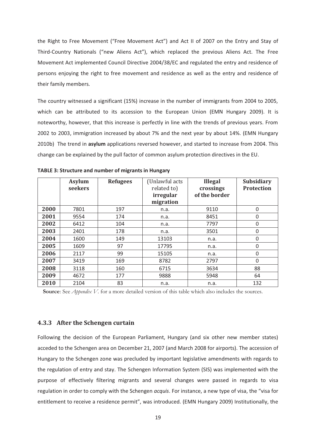the Right to Free Movement ("Free Movement Act") and Act II of 2007 on the Entry and Stay of Third-Country Nationals ("new Aliens Act"), which replaced the previous Aliens Act. The Free Movement Act implemented Council Directive 2004/38/EC and regulated the entry and residence of persons enjoying the right to free movement and residence as well as the entry and residence of their family members.

The country witnessed a significant (15%) increase in the number of immigrants from 2004 to 2005, which can be attributed to its accession to the European Union (EMN Hungary 2009). It is noteworthy, however, that this increase is perfectly in line with the trends of previous years. From 2002 to 2003, immigration increased by about 7% and the next year by about 14%. (EMN Hungary 2010b) The trend in **asylum** applications reversed however, and started to increase from 2004. This change can be explained by the pull factor of common asylum protection directives in the EU.

|      | <b>Asylum</b><br>seekers | <b>Refugees</b> | (Unlawful acts)<br>related to)<br>irregular<br>migration | <b>Illegal</b><br>crossings<br>of the border | <b>Subsidiary</b><br><b>Protection</b> |  |
|------|--------------------------|-----------------|----------------------------------------------------------|----------------------------------------------|----------------------------------------|--|
| 2000 | 7801                     | 197             | n.a.                                                     | 9110                                         | $\overline{0}$                         |  |
| 2001 | 9554                     | 174             | n.a.                                                     | 8451                                         | 0                                      |  |
| 2002 | 6412                     | 104             | n.a.                                                     | 7797                                         | $\overline{0}$                         |  |
| 2003 | 2401                     | 178             | n.a.                                                     | 3501                                         | 0                                      |  |
| 2004 | 1600                     | 149             | 13103                                                    | n.a.                                         | $\overline{0}$                         |  |
| 2005 | 1609                     | 97              | 17795                                                    | n.a.                                         | $\overline{0}$                         |  |
| 2006 | 2117                     | 99              | 15105                                                    | n.a.                                         | $\overline{0}$                         |  |
| 2007 | 3419                     | 169             | 8782                                                     | 2797                                         | $\overline{0}$                         |  |
| 2008 | 3118                     | 160             | 6715                                                     | 3634                                         | 88                                     |  |
| 2009 | 4672                     | 177             | 9888                                                     | 5948                                         | 64                                     |  |
| 2010 | 2104                     | 83              | n.a.                                                     | n.a.                                         | 132                                    |  |

**TABLE 3: Structure and number of migrants in Hungary** 

**Source**: See *Appendix V*. for a more detailed version of this table which also includes the sources.

#### **4.3.3 After the Schengen curtain**

Following the decision of the European Parliament, Hungary (and six other new member states) acceded to the Schengen area on December 21, 2007 (and March 2008 for airports). The accession of Hungary to the Schengen zone was precluded by important legislative amendments with regards to the regulation of entry and stay. The Schengen Information System (SIS) was implemented with the purpose of effectively filtering migrants and several changes were passed in regards to visa regulation in order to comply with the Schengen *acquis*. For instance, a new type of visa, the "visa for entitlement to receive a residence permit", was introduced. (EMN Hungary 2009) Institutionally, the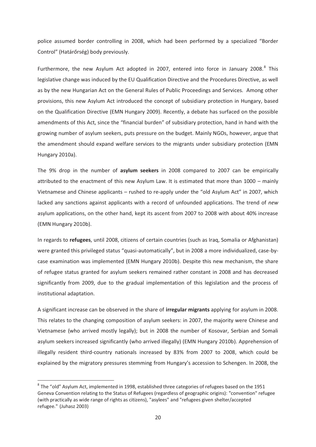police assumed border controlling in 2008, which had been performed by a specialized "Border Control" (Határőrség) body previously.

Furthermore, the new Asylum Act adopted in 2007, entered into force in January 2008.<sup>8</sup> This legislative change was induced by the EU Qualification Directive and the Procedures Directive, as well as by the new Hungarian Act on the General Rules of Public Proceedings and Services. Among other provisions, this new Asylum Act introduced the concept of subsidiary protection in Hungary, based on the Qualification Directive (EMN Hungary 2009). Recently, a debate has surfaced on the possible amendments of this Act, since the "financial burden" of subsidiary protection, hand in hand with the growing number of asylum seekers, puts pressure on the budget. Mainly NGOs, however, argue that the amendment should expand welfare services to the migrants under subsidiary protection (EMN Hungary 2010a).

The 9% drop in the number of **asylum seekers** in 2008 compared to 2007 can be empirically attributed to the enactment of this new Asylum Law. It is estimated that more than 1000 – mainly Vietnamese and Chinese applicants – rushed to re-apply under the "old Asylum Act" in 2007, which lacked any sanctions against applicants with a record of unfounded applications. The trend of *new* asylum applications, on the other hand, kept its ascent from 2007 to 2008 with about 40% increase (EMN Hungary 2010b).

In regards to **refugees**, until 2008, citizens of certain countries (such as Iraq, Somalia or Afghanistan) were granted this privileged status "quasi-automatically", but in 2008 a more individualized, case-bycase examination was implemented (EMN Hungary 2010b). Despite this new mechanism, the share of refugee status granted for asylum seekers remained rather constant in 2008 and has decreased significantly from 2009, due to the gradual implementation of this legislation and the process of institutional adaptation.

A significant increase can be observed in the share of **irregular migrants** applying for asylum in 2008. This relates to the changing composition of asylum seekers: in 2007, the majority were Chinese and Vietnamese (who arrived mostly legally); but in 2008 the number of Kosovar, Serbian and Somali asylum seekers increased significantly (who arrived illegally) (EMN Hungary 2010b). Apprehension of illegally resident third-country nationals increased by 83% from 2007 to 2008, which could be explained by the migratory pressures stemming from Hungary's accession to Schengen. In 2008, the

-

 $^8$  The "old" Asylum Act, implemented in 1998, established three categories of refugees based on the 1951 Geneva Convention relating to the Status of Refugees (regardless of geographic origins): "convention" refugee (with practically as wide range of rights as citizens), "asylees" and "refugees given shelter/accepted refugee." (Juhasz 2003)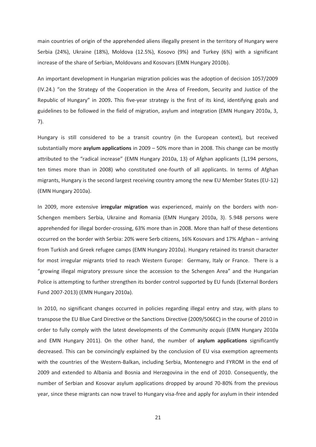main countries of origin of the apprehended aliens illegally present in the territory of Hungary were Serbia (24%), Ukraine (18%), Moldova (12.5%), Kosovo (9%) and Turkey (6%) with a significant increase of the share of Serbian, Moldovans and Kosovars (EMN Hungary 2010b).

An important development in Hungarian migration policies was the adoption of decision 1057/2009 (IV.24.) "on the Strategy of the Cooperation in the Area of Freedom, Security and Justice of the Republic of Hungary" in 2009**.** This five-year strategy is the first of its kind, identifying goals and guidelines to be followed in the field of migration, asylum and integration (EMN Hungary 2010a, 3, 7).

Hungary is still considered to be a transit country (in the European context), but received substantially more **asylum applications** in 2009 – 50% more than in 2008. This change can be mostly attributed to the "radical increase" (EMN Hungary 2010a, 13) of Afghan applicants (1,194 persons, ten times more than in 2008) who constituted one-fourth of all applicants. In terms of Afghan migrants, Hungary is the second largest receiving country among the new EU Member States (EU-12) (EMN Hungary 2010a).

In 2009, more extensive **irregular migration** was experienced, mainly on the borders with non-Schengen members Serbia, Ukraine and Romania (EMN Hungary 2010a, 3). 5.948 persons were apprehended for illegal border-crossing, 63% more than in 2008. More than half of these detentions occurred on the border with Serbia: 20% were Serb citizens, 16% Kosovars and 17% Afghan – arriving from Turkish and Greek refugee camps (EMN Hungary 2010a). Hungary retained its transit character for most irregular migrants tried to reach Western Europe: Germany, Italy or France. There is a "growing illegal migratory pressure since the accession to the Schengen Area" and the Hungarian Police is attempting to further strengthen its border control supported by EU funds (External Borders Fund 2007-2013) (EMN Hungary 2010a).

In 2010, no significant changes occurred in policies regarding illegal entry and stay, with plans to transpose the EU Blue Card Directive or the Sanctions Directive (2009/506EC) in the course of 2010 in order to fully comply with the latest developments of the Community *acquis* (EMN Hungary 2010a and EMN Hungary 2011). On the other hand, the number of **asylum applications** significantly decreased. This can be convincingly explained by the conclusion of EU visa exemption agreements with the countries of the Western-Balkan, including Serbia, Montenegro and FYROM in the end of 2009 and extended to Albania and Bosnia and Herzegovina in the end of 2010. Consequently, the number of Serbian and Kosovar asylum applications dropped by around 70-80% from the previous year, since these migrants can now travel to Hungary visa-free and apply for asylum in their intended

21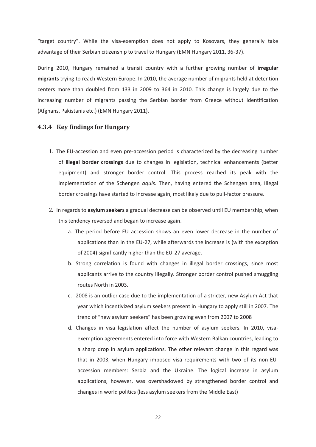"target country". While the visa-exemption does not apply to Kosovars, they generally take advantage of their Serbian citizenship to travel to Hungary (EMN Hungary 2011, 36-37).

During 2010, Hungary remained a transit country with a further growing number of **irregular migrants** trying to reach Western Europe. In 2010, the average number of migrants held at detention centers more than doubled from 133 in 2009 to 364 in 2010. This change is largely due to the increasing number of migrants passing the Serbian border from Greece without identification (Afghans, Pakistanis etc.) (EMN Hungary 2011).

#### **4.3.4 Key findings for Hungary**

- 1. The EU-accession and even pre-accession period is characterized by the decreasing number of **illegal border crossings** due to changes in legislation, technical enhancements (better equipment) and stronger border control. This process reached its peak with the implementation of the Schengen *aquis*. Then, having entered the Schengen area, Illegal border crossings have started to increase again, most likely due to pull-factor pressure.
- 2. In regards to **asylum seekers** a gradual decrease can be observed until EU membership, when this tendency reversed and began to increase again.
	- a. The period before EU accession shows an even lower decrease in the number of applications than in the EU-27, while afterwards the increase is (with the exception of 2004) significantly higher than the EU-27 average.
	- b. Strong correlation is found with changes in illegal border crossings, since most applicants arrive to the country illegally. Stronger border control pushed smuggling routes North in 2003.
	- c. 2008 is an outlier case due to the implementation of a stricter, new Asylum Act that year which incentivized asylum seekers present in Hungary to apply still in 2007. The trend of "new asylum seekers" has been growing even from 2007 to 2008
	- d. Changes in visa legislation affect the number of asylum seekers. In 2010, visaexemption agreements entered into force with Western Balkan countries, leading to a sharp drop in asylum applications. The other relevant change in this regard was that in 2003, when Hungary imposed visa requirements with two of its non-EUaccession members: Serbia and the Ukraine. The logical increase in asylum applications, however, was overshadowed by strengthened border control and changes in world politics (less asylum seekers from the Middle East)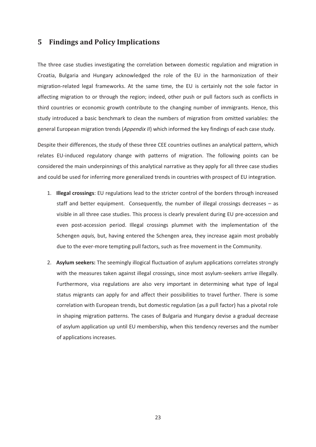#### **5 Findings and Policy Implications**

The three case studies investigating the correlation between domestic regulation and migration in Croatia, Bulgaria and Hungary acknowledged the role of the EU in the harmonization of their migration-related legal frameworks. At the same time, the EU is certainly not the sole factor in affecting migration to or through the region; indeed, other push or pull factors such as conflicts in third countries or economic growth contribute to the changing number of immigrants. Hence, this study introduced a basic benchmark to clean the numbers of migration from omitted variables: the general European migration trends (*Appendix II*) which informed the key findings of each case study.

Despite their differences, the study of these three CEE countries outlines an analytical pattern, which relates EU-induced regulatory change with patterns of migration. The following points can be considered the main underpinnings of this analytical narrative as they apply for all three case studies and could be used for inferring more generalized trends in countries with prospect of EU integration.

- 1. **Illegal crossings**: EU regulations lead to the stricter control of the borders through increased staff and better equipment. Consequently, the number of illegal crossings decreases  $-$  as visible in all three case studies. This process is clearly prevalent during EU pre-accession and even post-accession period. Illegal crossings plummet with the implementation of the Schengen *aquis,* but, having entered the Schengen area, they increase again most probably due to the ever-more tempting pull factors, such as free movement in the Community.
- 2. **Asylum seekers:** The seemingly illogical fluctuation of asylum applications correlates strongly with the measures taken against illegal crossings, since most asylum-seekers arrive illegally. Furthermore, visa regulations are also very important in determining what type of legal status migrants can apply for and affect their possibilities to travel further. There is some correlation with European trends, but domestic regulation (as a pull factor) has a pivotal role in shaping migration patterns. The cases of Bulgaria and Hungary devise a gradual decrease of asylum application up until EU membership, when this tendency reverses and the number of applications increases.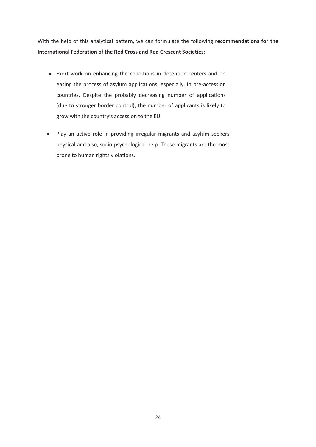With the help of this analytical pattern, we can formulate the following **recommendations for the International Federation of the Red Cross and Red Crescent Societies**:

- Exert work on enhancing the conditions in detention centers and on easing the process of asylum applications, especially, in pre-accession countries. Despite the probably decreasing number of applications (due to stronger border control), the number of applicants is likely to grow with the country's accession to the EU.
- Play an active role in providing irregular migrants and asylum seekers physical and also, socio-psychological help. These migrants are the most prone to human rights violations.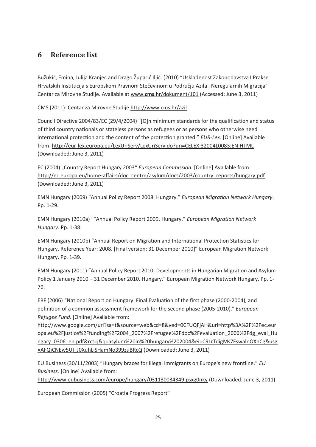# **6 Reference list**

Bužukić, Emina, Julija Kranjec and Drago Župarić Iljić. (2010) "Usklađenost Zakonodavstva I Prakse Hrvatskih Institucija s Europskom Pravnom Stečevinom u Području Azila i Neregularnih Migracija" Centar za Mirovne Studije. Available at www.**cms**.hr/dokument/101 (Accessed: June 3, 2011)

CMS (2011): Centar za Mirovne Studije http://www.cms.hr/azil

Council Directive 2004/83/EC (29/4/2004) "[O]n minimum standards for the qualification and status of third country nationals or stateless persons as refugees or as persons who otherwise need international protection and the content of the protection granted." *EUR-Lex.* [Online] Available from: http://eur-lex.europa.eu/LexUriServ/LexUriServ.do?uri=CELEX:32004L0083:EN:HTML (Downloaded: June 3, 2011)

EC (2004) "Country Report Hungary 2003" *European Commission.* [Online] Available from: http://ec.europa.eu/home-affairs/doc\_centre/asylum/docs/2003/country\_reports/hungary.pdf (Downloaded: June 3, 2011)

EMN Hungary (2009) "Annual Policy Report 2008. Hungary." *European Migration Network Hungary*. Pp. 1-29.

EMN Hungary (2010a) ""Annual Policy Report 2009. Hungary." *European Migration Network Hungary*. Pp. 1-38.

EMN Hungary (2010b) "Annual Report on Migration and International Protection Statistics for Hungary. Reference Year: 2008. [Final version: 31 December 2010]" European Migration Network Hungary. Pp. 1-39.

EMN Hungary (2011) "Annual Policy Report 2010. Developments in Hungarian Migration and Asylum Policy 1 January 2010 – 31 December 2010. Hungary." European Migration Network Hungary. Pp. 1- 79.

ERF (2006) "National Report on Hungary. Final Evaluation of the first phase (2000-2004), and definition of a common assessment framework for the second phase (2005-2010)." *European Refugee Fund*. [Online] Available from:

http://www.google.com/url?sa=t&source=web&cd=8&ved=0CFUQFjAH&url=http%3A%2F%2Fec.eur opa.eu%2Fjustice%2Ffunding%2F2004\_2007%2Frefugee%2Fdoc%2Fevaluation\_2006%2Fdg\_eval\_Hu ngary\_0306\_en.pdf&rct=j&q=asylum%20in%20hungary%202004&ei=C9LrTdigMs7FswalnOXnCg&usg =AFQjCNEw5UI\_J0XuhLiSHamNo399zuBRcQ (Downloaded: June 3, 2011)

EU Business (30/11/2003) "Hungary braces for illegal immigrants on Europe's new frontline." *EU Business.* [Online] Available from:

http://www.eubusiness.com/europe/hungary/031130034349.psxg0nky (Downloaded: June 3, 2011)

European Commission (2005) "Croatia Progress Report"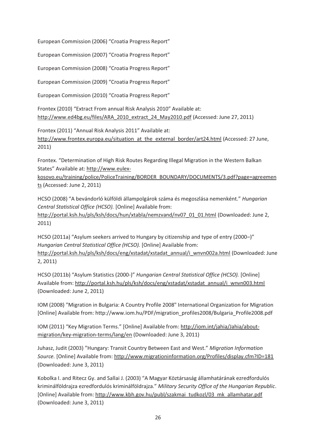European Commission (2006) "Croatia Progress Report"

European Commission (2007) "Croatia Progress Report"

European Commission (2008) "Croatia Progress Report"

European Commission (2009) "Croatia Progress Report"

European Commission (2010) "Croatia Progress Report"

Frontex (2010) "Extract From annual Risk Analysis 2010" Available at: http://www.ed4bg.eu/files/ARA\_2010\_extract\_24\_May2010.pdf (Accessed: June 27, 2011)

Frontex (2011) "Annual Risk Analysis 2011" Available at:

http://www.frontex.europa.eu/situation\_at\_the\_external\_border/art24.html (Accessed: 27 June, 2011)

Frontex. "Determination of High Risk Routes Regarding Illegal Migration in the Western Balkan States" Available at: http://www.eulex-

kosovo.eu/training/police/PoliceTraining/BORDER\_BOUNDARY/DOCUMENTS/3.pdf?page=agreemen ts (Accessed: June 2, 2011)

HCSO (2008) "A bevándorló külföldi állampolgárok száma és megoszlása nemenként." *Hungarian Central Statistical Office (HCSO).* [Online] Available from: http://portal.ksh.hu/pls/ksh/docs/hun/xtabla/nemzvand/nv07\_01\_01.html (Downloaded: June 2, 2011)

HCSO (2011a) "Asylum seekers arrived to Hungary by citizenship and type of entry (2000–)" *Hungarian Central Statistical Office (HCSO).* [Online] Available from: http://portal.ksh.hu/pls/ksh/docs/eng/xstadat/xstadat\_annual/i\_wnvn002a.html (Downloaded: June 2, 2011)

HCSO (2011b) "Asylum Statistics (2000-)" *Hungarian Central Statistical Office (HCSO).* [Online] Available from: http://portal.ksh.hu/pls/ksh/docs/eng/xstadat/xstadat\_annual/i\_wnvn003.html (Downloaded: June 2, 2011)

IOM (2008) "Migration in Bulgaria: A Country Profile 2008" International Organization for Migration [Online] Available from: http://www.iom.hu/PDF/migration\_profiles2008/Bulgaria\_Profile2008.pdf

IOM (2011) "Key Migration Terms." [Online] Available from: http://iom.int/jahia/Jahia/aboutmigration/key-migration-terms/lang/en (Downloaded: June 3, 2011)

Juhasz, Judit (2003) "Hungary: Transit Country Between East and West." *Migration Information Source.* [Online] Available from: http://www.migrationinformation.org/Profiles/display.cfm?ID=181 (Downloaded: June 3, 2011)

Kobolka I. and Ritecz Gy. and Sallai J. (2003) "A Magyar Köztársaság államhatárának ezredfordulós kriminálföldrajza ezredfordulós kriminálföldrajza." *Military Security Office of the Hungarian Republic*. [Online] Available from: http://www.kbh.gov.hu/publ/szakmai\_tudkozl/03\_mk\_allamhatar.pdf (Downloaded: June 3, 2011)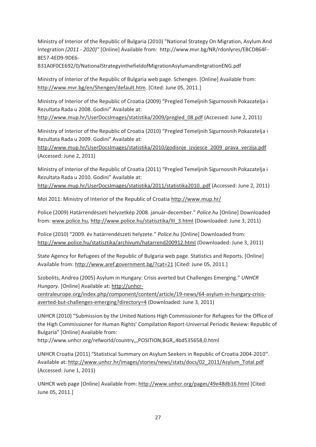Ministry of Interior of the Republic of Bulgaria (2010) "National Strategy On Migration, Asylum And Integration *(2011 - 2020)"* [Online] Available from: http://www.mvr.bg/NR/rdonlyres/EBCD864F-8E57-4ED9-9DE6-

B31A0F0CE692/0/NationalStrategyinthefieldofMigrationAsylumandIntgrationENG.pdf

Ministry of Interior of the Republic of Bulgaria web page. Schengen. [Online] Available from: http://www.mvr.bg/en/Shengen/default.htm. [Cited: June 05, 2011.]

Ministry of Interior of the Republic of Croatia (2009) "Pregled Temeljnih Sigurnosnih Pokazatelja i Rezultata Rada u 2008. Godini" Available at:

http://www.mup.hr/UserDocsImages/statistika/2009/pregled\_08.pdf (Accessed: June 2, 2011)

Ministry of Interior of the Republic of Croatia (2010) "Pregled Temeljnih Sigurnosnih Pokazatelja i Rezultata Rada u 2009. Godini" Available at:

http://www.mup.hr/UserDocsImages/statistika/2010/godisnje\_izvjesce\_2009\_prava\_verzija.pdf (Accessed: June 2, 2011)

Ministry of Interior of the Republic of Croatia (2011) "Pregled Temeljnih Sigurnosnih Pokazatelja i Rezultata Rada u 2010. Godini" Available at:

http://www.mup.hr/UserDocsImages/statistika/2011/statistika2010..pdf (Accessed: June 2, 2011)

MoI 2011: Ministry of Interior of the Republic of Croatia http://www.mup.hr/

Police (2009) Határrendészeti helyzetkép 2008. január-december." *Police.hu* [Online] Downloaded from: www.police.hu, http://www.police.hu/statisztika/III\_3.html (Downloaded: June 3, 2011)

Police (2010) "2009. év határrendészeti helyzete." *Police.hu* [Online] Downloaded from: http://www.police.hu/statisztika/archivum/hatarrend200912.html (Downloaded: June 3, 2011)

State Agency for Refugees of the Republic of Bulgaria web page. Statistics and Reports. [Online] Available from: http://www.aref.government.bg/?cat=21 [Cited: June 05, 2011.]

Szobolits, Andrea (2005) Asylum in Hungary: Crisis averted but Challenges Emerging." *UNHCR Hungary.* [Online] Available at: http://unhcr-

centraleurope.org/index.php/component/content/article/19-news/64-asylum-in-hungary-crisisaverted-but-challenges-emerging?directory=4 (Downloaded: June 3, 2011)

UNHCR (2010) "Submission by the United Nations High Commissioner for Refugees for the Office of the High Commissioner for Human Rights' Compilation Report-Universal Periodic Review: Republic of Bulgaria" [Online] Available from:

http://www.unhcr.org/refworld/country,,,POSITION,BGR,,4bd535658,0.html

UNHCR Croatia (2011) "Statistical Summary on Asylum Seekers in Republic of Croatia 2004-2010". Available at: http://www.unhcr.hr/images/stories/news/stats/docs/02\_2011/Asylum\_Total.pdf (Accessed: June 1, 2011)

UNHCR web page [Online] Available from: http://www.unhcr.org/pages/49e48db16.html [Cited: June 05, 2011.]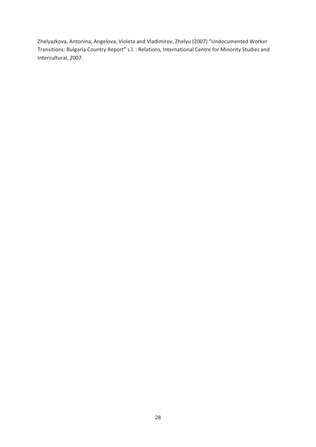Zhelyazkova, Antonina, Angelova, Violeta and Vladimirov, Zhelyu (2007) "Undocumented Worker Transitions: Bulgaria Country Report" s.l. : Relations, International Centre for Minority Studies and Intercultural, 2007.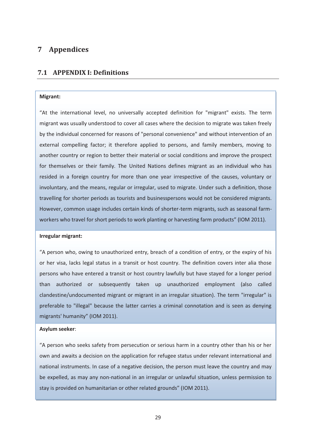#### **7 Appendices**

#### **7.1 APPENDIX I: Definitions**

#### **Migrant:**

"At the international level, no universally accepted definition for "migrant" exists. The term migrant was usually understood to cover all cases where the decision to migrate was taken freely by the individual concerned for reasons of "personal convenience" and without intervention of an external compelling factor; it therefore applied to persons, and family members, moving to another country or region to better their material or social conditions and improve the prospect for themselves or their family. The United Nations defines migrant as an individual who has resided in a foreign country for more than one year irrespective of the causes, voluntary or involuntary, and the means, regular or irregular, used to migrate. Under such a definition, those travelling for shorter periods as tourists and businesspersons would not be considered migrants. However, common usage includes certain kinds of shorter-term migrants, such as seasonal farmworkers who travel for short periods to work planting or harvesting farm products" (IOM 2011).

#### **Irregular migrant:**

"A person who, owing to unauthorized entry, breach of a condition of entry, or the expiry of his or her visa, lacks legal status in a transit or host country. The definition covers inter alia those persons who have entered a transit or host country lawfully but have stayed for a longer period than authorized or subsequently taken up unauthorized employment (also called clandestine/undocumented migrant or migrant in an irregular situation). The term "irregular" is preferable to "illegal" because the latter carries a criminal connotation and is seen as denying migrants' humanity" (IOM 2011).

#### **Asylum seeker**:

"A person who seeks safety from persecution or serious harm in a country other than his or her own and awaits a decision on the application for refugee status under relevant international and national instruments. In case of a negative decision, the person must leave the country and may be expelled, as may any non-national in an irregular or unlawful situation, unless permission to stay is provided on humanitarian or other related grounds" (IOM 2011).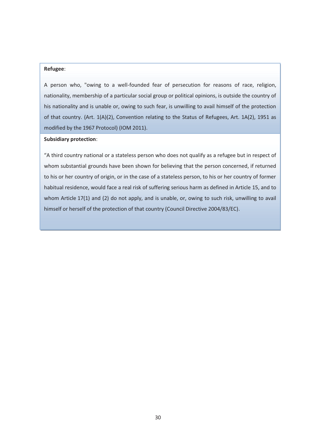#### **Refugee**:

A person who, "owing to a well-founded fear of persecution for reasons of race, religion, nationality, membership of a particular social group or political opinions, is outside the country of his nationality and is unable or, owing to such fear, is unwilling to avail himself of the protection of that country. (Art. 1(A)(2), Convention relating to the Status of Refugees, Art. 1A(2), 1951 as modified by the 1967 Protocol) (IOM 2011).

#### **Subsidiary protection**:

"A third country national or a stateless person who does not qualify as a refugee but in respect of whom substantial grounds have been shown for believing that the person concerned, if returned to his or her country of origin, or in the case of a stateless person, to his or her country of former habitual residence, would face a real risk of suffering serious harm as defined in Article 15, and to whom Article 17(1) and (2) do not apply, and is unable, or, owing to such risk, unwilling to avail himself or herself of the protection of that country (Council Directive 2004/83/EC).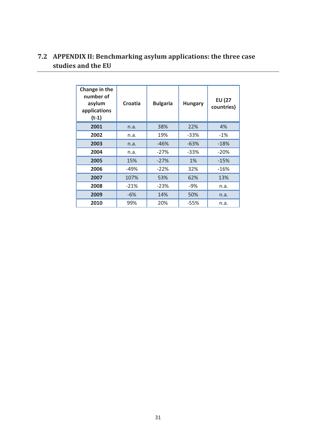| Change in the<br>number of<br>asylum<br>applications<br>$(t-1)$ | Croatia | <b>Bulgaria</b> | <b>Hungary</b> | <b>EU (27</b><br>countries) |
|-----------------------------------------------------------------|---------|-----------------|----------------|-----------------------------|
| 2001                                                            | n.a.    | 38%             | 22%            | 4%                          |
| 2002                                                            | n.a.    | 19%             | $-33%$         | $-1\%$                      |
| 2003                                                            | n.a.    | -46%            | -63%           | $-18%$                      |
| 2004                                                            | n.a.    | $-27%$          | $-33%$         | $-20%$                      |
| 2005                                                            | 15%     | $-27%$          | 1%             | $-15%$                      |
| 2006                                                            | -49%    | $-22%$          | 32%            | $-16%$                      |
| 2007                                                            | 107%    | 53%             | 62%            | 13%                         |
| 2008                                                            | $-21%$  | $-23%$          | $-9%$          | n.a.                        |
| 2009                                                            | $-6%$   | 14%             | 50%            | n.a.                        |
| 2010                                                            | 99%     | 20%             | $-55%$         | n.a.                        |

# **7.2 APPENDIX II: Benchmarking asylum applications: the three case studies and the EU**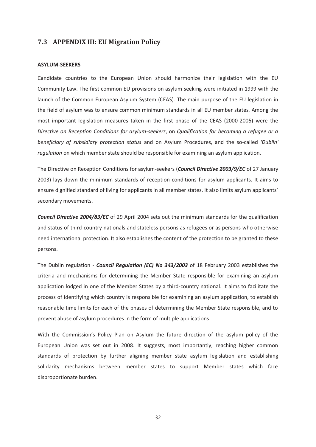#### **ASYLUM-SEEKERS**

Candidate countries to the European Union should harmonize their legislation with the EU Community Law. The first common EU provisions on asylum seeking were initiated in 1999 with the launch of the Common European Asylum System (CEAS). The main purpose of the EU legislation in the field of asylum was to ensure common minimum standards in all EU member states. Among the most important legislation measures taken in the first phase of the CEAS (2000-2005) were the *Directive on Reception Conditions for asylum-seekers*, on *Qualification for becoming a refugee or a beneficiary of subsidiary protection status* and on Asylum Procedures, and the so-called *'Dublin' regulation* on which member state should be responsible for examining an asylum application.

The Directive on Reception Conditions for asylum-seekers (*Council Directive 2003/9/EC* of 27 January 2003) lays down the minimum standards of reception conditions for asylum applicants. It aims to ensure dignified standard of living for applicants in all member states. It also limits asylum applicants' secondary movements.

*Council Directive 2004/83/EC* of 29 April 2004 sets out the minimum standards for the qualification and status of third-country nationals and stateless persons as refugees or as persons who otherwise need international protection. It also establishes the content of the protection to be granted to these persons.

The Dublin regulation - *Council Regulation (EC) No 343/2003* of 18 February 2003 establishes the criteria and mechanisms for determining the Member State responsible for examining an asylum application lodged in one of the Member States by a third-country national. It aims to facilitate the process of identifying which country is responsible for examining an asylum application, to establish reasonable time limits for each of the phases of determining the Member State responsible, and to prevent abuse of asylum procedures in the form of multiple applications.

With the Commission's Policy Plan on Asylum the future direction of the asylum policy of the European Union was set out in 2008. It suggests, most importantly, reaching higher common standards of protection by further aligning member state asylum legislation and establishing solidarity mechanisms between member states to support Member states which face disproportionate burden.

32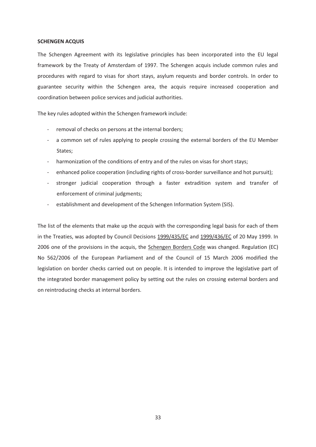#### **SCHENGEN ACQUIS**

The Schengen Agreement with its legislative principles has been incorporated into the EU legal framework by the Treaty of Amsterdam of 1997. The Schengen acquis include common rules and procedures with regard to visas for short stays, asylum requests and border controls. In order to guarantee security within the Schengen area, the acquis require increased cooperation and coordination between police services and judicial authorities.

The key rules adopted within the Schengen framework include:

- removal of checks on persons at the internal borders;
- a common set of rules applying to people crossing the external borders of the EU Member States;
- harmonization of the conditions of entry and of the rules on visas for short stays;
- enhanced police cooperation (including rights of cross-border surveillance and hot pursuit);
- stronger judicial cooperation through a faster extradition system and transfer of enforcement of criminal judgments;
- establishment and development of the Schengen Information System (SIS).

The list of the elements that make up the *acquis* with the corresponding legal basis for each of them in the Treaties, was adopted by Council Decisions 1999/435/EC and 1999/436/EC of 20 May 1999. In 2006 one of the provisions in the acquis, the Schengen Borders Code was changed. Regulation (EC) No 562/2006 of the European Parliament and of the Council of 15 March 2006 modified the legislation on border checks carried out on people. It is intended to improve the legislative part of the integrated border management policy by setting out the rules on crossing external borders and on reintroducing checks at internal borders.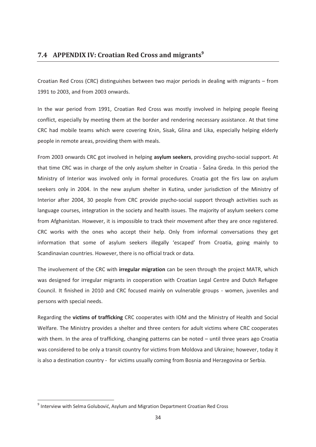Croatian Red Cross (CRC) distinguishes between two major periods in dealing with migrants – from 1991 to 2003, and from 2003 onwards.

In the war period from 1991, Croatian Red Cross was mostly involved in helping people fleeing conflict, especially by meeting them at the border and rendering necessary assistance. At that time CRC had mobile teams which were covering Knin, Sisak, Glina and Lika, especially helping elderly people in remote areas, providing them with meals.

From 2003 onwards CRC got involved in helping **asylum seekers**, providing psycho-social support. At that time CRC was in charge of the only asylum shelter in Croatia - Šašna Greda. In this period the Ministry of Interior was involved only in formal procedures. Croatia got the firs law on asylum seekers only in 2004. In the new asylum shelter in Kutina, under jurisdiction of the Ministry of Interior after 2004, 30 people from CRC provide psycho-social support through activities such as language courses, integration in the society and health issues. The majority of asylum seekers come from Afghanistan. However, it is impossible to track their movement after they are once registered. CRC works with the ones who accept their help. Only from informal conversations they get information that some of asylum seekers illegally 'escaped' from Croatia, going mainly to Scandinavian countries. However, there is no official track or data.

The involvement of the CRC with **irregular migration** can be seen through the project MATR, which was designed for irregular migrants in cooperation with Croatian Legal Centre and Dutch Refugee Council. It finished in 2010 and CRC focused mainly on vulnerable groups - women, juveniles and persons with special needs.

Regarding the **victims of trafficking** CRC cooperates with IOM and the Ministry of Health and Social Welfare. The Ministry provides a shelter and three centers for adult victims where CRC cooperates with them. In the area of trafficking, changing patterns can be noted – until three years ago Croatia was considered to be only a transit country for victims from Moldova and Ukraine; however, today it is also a destination country - for victims usually coming from Bosnia and Herzegovina or Serbia.

-

<sup>&</sup>lt;sup>9</sup> Interview with Selma Golubović, Asylum and Migration Department Croatian Red Cross